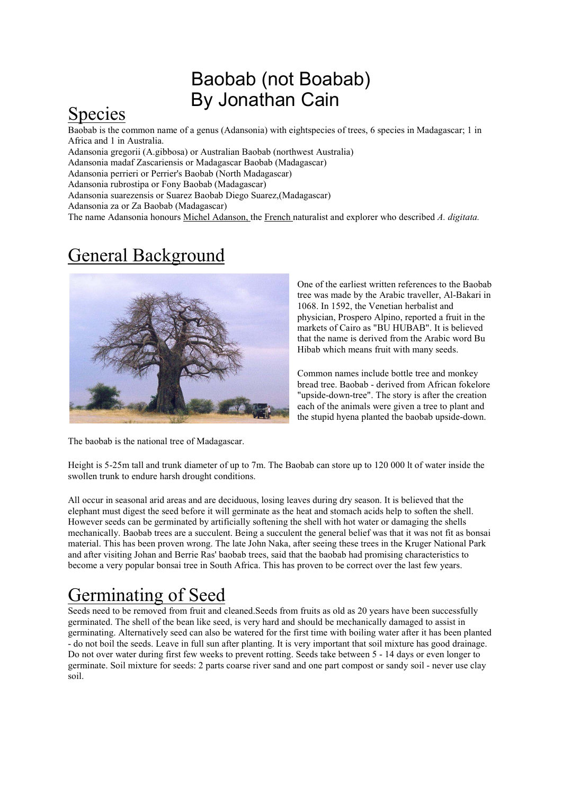#### Baobab (not Boabab) By Jonathan Cain

#### Species

Baobab is the common name of a genus (Adansonia) with eightspecies of trees, 6 species in Madagascar; 1 in Africa and 1 in Australia.

Adansonia gregorii (A.gibbosa) or Australian Baobab (northwest Australia)

Adansonia madaf Zascariensis or Madagascar Baobab (Madagascar)

Adansonia perrieri or Perrier's Baobab (North Madagascar)

Adansonia rubrostipa or Fony Baobab (Madagascar)

Adansonia suarezensis or Suarez Baobab Diego Suarez,(Madagascar)

Adansonia za or Za Baobab (Madagascar)

The name Adansonia honours Michel Adanson, the French naturalist and explorer who described *A. digitata.*

### General Background



One of the earliest written references to the Baobab tree was made by the Arabic traveller, Al-Bakari in 1068. In 1592, the Venetian herbalist and physician, Prospero Alpino, reported a fruit in the markets of Cairo as "BU HUBAB". It is believed that the name is derived from the Arabic word Bu Hibab which means fruit with many seeds.

Common names include bottle tree and monkey bread tree. Baobab - derived from African fokelore "upside-down-tree". The story is after the creation each of the animals were given a tree to plant and the stupid hyena planted the baobab upside-down.

The baobab is the national tree of Madagascar.

Height is 5-25m tall and trunk diameter of up to 7m. The Baobab can store up to 120 000 lt of water inside the swollen trunk to endure harsh drought conditions.

All occur in seasonal arid areas and are deciduous, losing leaves during dry season. It is believed that the elephant must digest the seed before it will germinate as the heat and stomach acids help to soften the shell. However seeds can be germinated by artificially softening the shell with hot water or damaging the shells mechanically. Baobab trees are a succulent. Being a succulent the general belief was that it was not fit as bonsai material. This has been proven wrong. The late John Naka, after seeing these trees in the Kruger National Park and after visiting Johan and Berrie Ras' baobab trees, said that the baobab had promising characteristics to become a very popular bonsai tree in South Africa. This has proven to be correct over the last few years.

## Germinating of Seed

Seeds need to be removed from fruit and cleaned.Seeds from fruits as old as 20 years have been successfully germinated. The shell of the bean like seed, is very hard and should be mechanically damaged to assist in germinating. Alternatively seed can also be watered for the first time with boiling water after it has been planted - do not boil the seeds. Leave in full sun after planting. It is very important that soil mixture has good drainage. Do not over water during first few weeks to prevent rotting. Seeds take between 5 - 14 days or even longer to germinate. Soil mixture for seeds: 2 parts coarse river sand and one part compost or sandy soil - never use clay soil.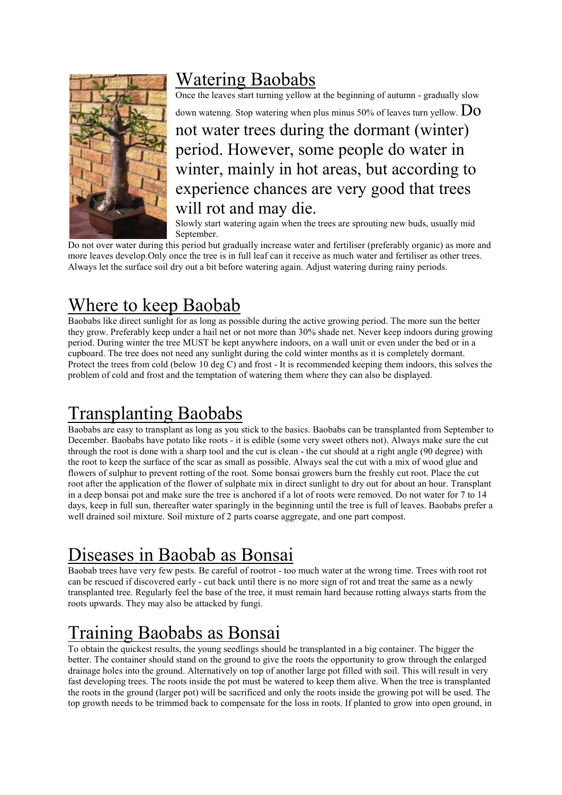

### Watering Baobabs

Once the leaves start turning yellow at the beginning of autumn - gradually slow

down watenng. Stop watering when plus minus 50% of leaves turn yellow.  $\rm Do$ 

not water trees during the dormant (winter) period. However, some people do water in winter, mainly in hot areas, but according to experience chances are very good that trees will rot and may die.

Slowly start watering again when the trees are sprouting new buds, usually mid September.

Do not over water during this period but gradually increase water and fertiliser (preferably organic) as more and more leaves develop.Only once the tree is in full leaf can it receive as much water and fertiliser as other trees. Always let the surface soil dry out a bit before watering again. Adjust watering during rainy periods.

#### Where to keep Baobab

Baobabs like direct sunlight for as long as possible during the active growing period. The more sun the better they grow. Preferably keep under a hail net or not more than 30% shade net. Never keep indoors during growing period. During winter the tree MUST be kept anywhere indoors, on a wall unit or even under the bed or in a cupboard. The tree does not need any sunlight during the cold winter months as it is completely dormant. Protect the trees from cold (below 10 deg C) and frost - It is recommended keeping them indoors, this solves the problem of cold and frost and the temptation of watering them where they can also be displayed.

## Transplanting Baobabs

Baobabs are easy to transplant as long as you stick to the basics. Baobabs can be transplanted from September to December. Baobabs have potato like roots - it is edible (some very sweet others not). Always make sure the cut through the root is done with a sharp tool and the cut is clean - the cut should at a right angle (90 degree) with the root to keep the surface of the scar as small as possible. Always seal the cut with a mix of wood glue and flowers of sulphur to prevent rotting of the root. Some bonsai growers burn the freshly cut root. Place the cut root after the application of the flower of sulphate mix in direct sunlight to dry out for about an hour. Transplant in a deep bonsai pot and make sure the tree is anchored if a lot of roots were removed. Do not water for 7 to 14 days, keep in full sun, thereafter water sparingly in the beginning until the tree is full of leaves. Baobabs prefer a well drained soil mixture. Soil mixture of 2 parts coarse aggregate, and one part compost.

## Diseases in Baobab as Bonsai

Baobab trees have very few pests. Be careful of rootrot - too much water at the wrong time. Trees with root rot can be rescued if discovered early - cut back until there is no more sign of rot and treat the same as a newly transplanted tree. Regularly feel the base of the tree, it must remain hard because rotting always starts from the roots upwards. They may also be attacked by fungi.

# Training Baobabs as Bonsai

To obtain the quickest results, the young seedlings should be transplanted in a big container. The bigger the better. The container should stand on the ground to give the roots the opportunity to grow through the enlarged drainage holes into the ground. Alternatively on top of another large pot filled with soil. This will result in very fast developing trees. The roots inside the pot must be watered to keep them alive. When the tree is transplanted the roots in the ground (larger pot) will be sacrificed and only the roots inside the growing pot will be used. The top growth needs to be trimmed back to compensate for the loss in roots. If planted to grow into open ground, in